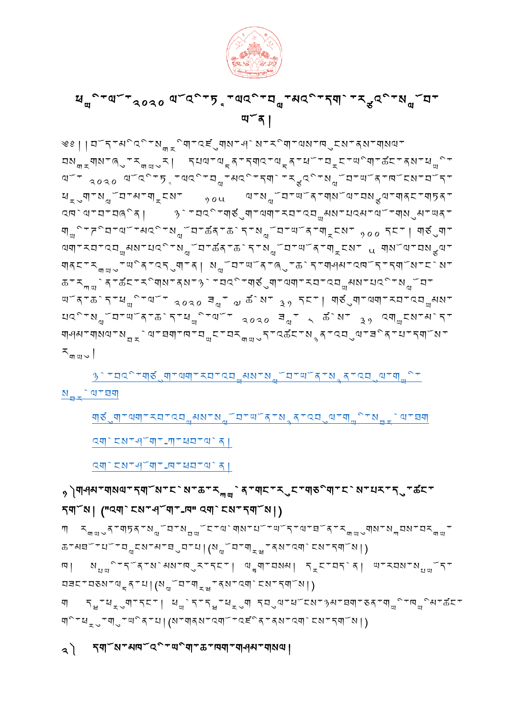# ༢༽ དགོས་མཁོའྱི་ཡྱིག་ཆ་ཁག་གཤམ་གསལ།

བ<code>ョ</code>ང་བུས་ལྲན་པ།(སྱོབ་གྲྱ་ནས་འགེངས་དགོས།)  $\mathcal{F}_{\mathbf{H}}$ ་ཕྲུག་དང་། ཕྱེད་དྱ་ཕྲུག དབུལ་ཕོངས་ᡐ<code>མ་བག་</code>ଚན་གྱི་ஙྱིམ་கོང་ གི་ཕྲུ་གུ་ལིན་པ།(ས་གནས་འགོ་འངིན་ནས་འགེངས་དགོས།)

ཆ་མཐོ་པོ་བླངས་མ་ཐུབ་པ།(སློབ་ག ྲྭ་ནས་འགེངས་དགོས།) াৰা ম<sub>াল</sub>িম্ব্ৰম্পৰাৰ্ক্ষ্মৰ প্ৰান্তা কৰা কৃত্যবৰ্তী পৰিবলৰ <sub>বিত</sub>

དགོས། ("འགེངས་ཤོག་-ཁ" འགེངས་དགོས།) <sub></sub><sub>รี ๚๚ง จันตราย ซึ่ง อันตราย ออกจาน ออกจาน ออกจาน อย่าง อย่าง อย่าง อย่าง อย่าง อย่าง อย่าง อย่าง อย่าง อย่าง</sub>

<sub>᠀</sub>ৗ্ঀঀয়ৼঀায়ঀ৽ৼঀঀৼয়ৼৼ৾য়ৼড়ৼৼ৵<sup>৻</sup>ঀৼঀৼৼ৴ৼৼৼ৻ৼৼঀড়<sup>৽</sup>ঀৼৼ৾য়ৼ৸ৼৼৼ৻ৢৼড়ৼৼ

[འགེངས་ཤོག་](https://sherig.org/en/wp-content/uploads/2019/03/Form-B.pdf)-ཁ་ཕབ་ལེན།

[འགེངས་ཤོག་](https://sherig.org/en/wp-content/uploads/2020/02/DoE-Form-A.pdf)-ཀ་ཕབ་ལེན།

ขอังบุรณา สาขา จังนา มี พระอาชา จังนา จังนา มี พระอาชา จังนา มี พระอาชา อยู่ จังนา มี พระอาชา อยู่ จังนา มี พร

 $N_{\rm max}$   $q$   $\tau$   $\overline{q}$ 

[ཉེ་བའྱི་གཙུག་ལག་རབ་འབ མས་སློབ་ཡོན་སྙན་འབུལ་ག ྱི་](https://forms.gle/V6Hwk515maX9Zyng8)

 $x^{\perp}$   $\leq$   $\frac{1}{2}$ 

༄༅།།བོད་མྱིའྱི་ས ྱིག་འཛུགས་ཤེས་རྱིག་ལས་ཁུངས་ནས་གསལ་ བསྐྲགས་འུ་རྐྱུར། དཔལ་ལྲན་དགའ་ལྲན་ཕོ་བྲང་ལིག་கོང་ནས་ཕྱི་ ལོ་ འ०འ० ལོའི་ཏྲ་ལའི་བྱ་མའི་དགེ་རྲའི་སྱོབ་ལོན་ஙོངས་བོད་ ซ<sub>ร</sub>ูๆาผ<sub>ู้ม</sub>ับามาๆ<sub>ร</sub>ุยมา <sub>१०५</sub> ขาผ<sub>ูญ</sub>ับามาตั้งขามผ<sub>ู้ช</sub>ุขาๆสยาขุธุรา འཁེལ་བ་བཞྱིན། ཉེ་བའྱི་གཙུག་ལག་རབ་འབ མས་པའམ་ལོ་གསུམ་ཡན་ གྱི་<mark>རིབ་ལོ་མའི་ས</mark>ྱོབ་கོན་கེད་སྱོབ་ལོན་གྲངས་ <sub>୨००</sub> དང་། གछུག་ ལག་རབ་འབ མས་པའྱི་སློབ་ཚན་ཆེད་སློབ་ཡོན་ག ངས་ ༥ གསོལ་བསྩལ་ གནང་ར ུ་ཡྱིན་འདུག་ན། སློབ་ཡོན་ཞུ་ཆེད་གཤམ་འཁོད་དགོས་ངེས་ ཆ་ར ེན་ཚང་རྱིགས་ནས་ཉེ་བའྱི་གཙུག་ལག་རབ་འབ མས་པའྱི་སློབ་ ⋓ོན་கེད་ཕྱི་ལོ་  $_{30}$ འ $_{0}$   $\exists_{\mathfrak{q}}$ ་  $_{\mathfrak{d}}$  க $^{5}$ ས་  $_{3}$   $_{2}$  དང་། གུནུག་ལག་རབ་འབྱམས་  $10^{\circ}$ ་སྱོབ་ལོན་ $\delta$ ེད་ $4^{\circ}$ ་ལོ་  $3030$   $3^{\circ}$   $3^{\circ}$   $4^{\circ}$   $3^{\circ}$   $3^{\circ}$   $3^{\circ}$   $4^{\circ}$ གལུམ་གསལ་སྲྲེལ་བག་ལ་བྱང་བརྱྱུད་འகོང་སྲན་འབུལ་བིན་པ་དགོས་

ཡོན།

ซู คำอังออก สังการ จัดจะ ออก สาราช จังการ สูงการ สูง

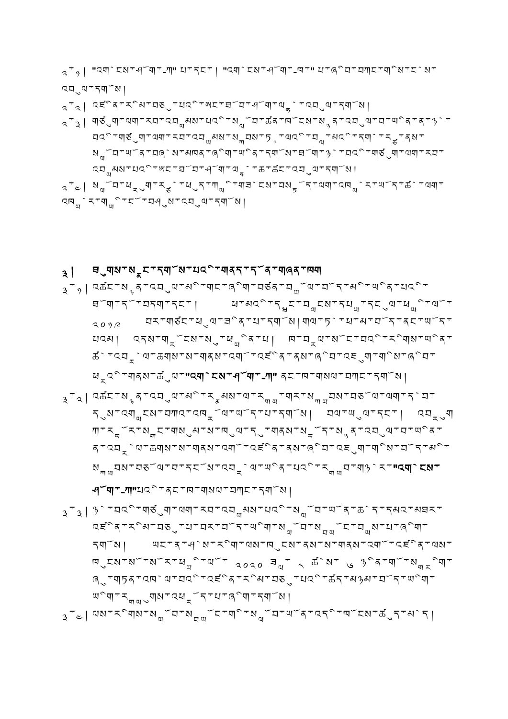- དགོས། ཡང་ན་ཤེས་རྱིག་ལས་ཁུངས་ནས་ས་གནས་འགོ་འཛྱིན་ལས་ দ্রেম্প $\sim$ ম $\mu_{\rm w}$ ঁমি $\sim$   $\mu_{\rm w}$   $\sim$   $\mu_{\rm w}$   $\sim$   $\mu_{\rm w}$   $\sim$   $\mu_{\rm w}$   $\sim$   $\mu_{\rm w}$   $\sim$   $\mu_{\rm w}$ ཞུ་གཏན་འཁེལ་བའྱི་འཛྱིན་རྱིམ་བཅུ་པའྱི་ཚད་མཉམ་བོད་ཡྱིག་  $\mathbb{E}[\mathbb{E}[\mathbb{E}[\mathbb{E}[\mathbb{E}[\mathbb{E}[\mathbb{E}[\mathbb{E}[\mathbb{E}[\mathbb{E}[\mathbb{E}[\mathbb{E}[\mathbb{E}[\mathbb{E}[\mathbb{E}[\mathbb{E}[\mathbb{E}[\mathbb{E}[\mathbb{E}[\mathbb{E}[\mathbb{E}[\mathbb{E}[\mathbb{E}[\mathbb{E}[\mathbb{E}[\mathbb{E}[\mathbb{E}[\mathbb{E}[\mathbb{E}[\mathbb{E}[\mathbb{E}[\mathbb{E}[\mathbb{E}[\mathbb{E}[\mathbb{E}[\mathbb{E}[\mathbb{$  $_{3}$ ་ $_{\rm c}$ | ལས་རིགས་སྱོབ་སྱྱོང་གི་སྱོབ་ལོན་འདི་ஙོངས་கོུད་མེད│
- ཤོག་-ཀ"པའྱི་ནང་ཁ་གསལ་བཀང་དགོས།  $\mathbf{a}$ ್ $\mathbf{a}$ |  $\mathbf{a}$ े ་བའི་གརོུག་ལག་རབ་འབྱམས་པའི་སྱོབ་ལོན་கེད་དམའ་མབར་ འཛྱིན་རྱིམ་བཅུ་པ་བར་བོད་ཡྱིག་སློབ་ས ོང་བ ས་པ་ཞྱིག་
- $\mathcal{F}_{\mathcal{A}}$ ا འக $\mathcal{F}$ ་སྲན་འབུལ་མི་རྲམས་ལ་རྱྱ་གར་སྐྱབས་བșོལ་ལག་དེབ་ དུས་འགྱངས་བཀའ་འদྲོལ་ལོད་པ་དགོས། བལ་ལུལ་དང་། འབྲུག ཀ་རྡོར་ས ང་གསུམ་ས་ཁུལ་དུ་གནས་སྡོད་སྙན་འབུལ་བ་ཡྱིན་ ན་འབྲེལ་ಹགས་ས་གནས་འགོ་འངོད་ནས་ནིབ་འངུག་གིས་བོད་མི་ སྐྱབས་བནོལ་བ་དངོས་འབྲེལ་ལིན་པའི་རྐྱབ་ག།ེར་**"འགེངས་**
- $\mathbf{A}^T$ ୭| འக $\mathbf{Z}$ टिक् $\mathbf{A}^T$ ्या अ $\mathbf{A}^T$ र्णाटक्या दिवि $\mathbf{A}^T$ प्याँक्या प्राप्याल्क्यु ཐོག་དོ་བདག་དང་། ཕ་མའྱི་དྲྭང་བླངས་དཔ ་དངུལ་ཕ ྱི་ལོ་  $_{3\,0\,\gamma\,\beta}$  प्रगण्डेंटण्युषाचीदागरण्डाण्याणि པའམ། འདས་གྲོངས་སུ་ཕྱིན་པ། দ་བྲལ་སོང་བའི་རིགས་ལིན་ ཚེ་འབ ེལ་ཆགས་ས་གནས་འགོ་འཛྱིན་ནས་ཞྱིབ་འཇུག་གྱིས་ཞྱིབ་  $\mathbf{z}_\mathbf{x}$ ्रग $\mathbf{z}_\mathbf{x}$ ा - "वयारे स्थान्यान्या" ब् $\mathbf{z}_\mathbf{x}$ गण्डा क्या
- $_{\bf 3}$ | ਬೃषाञ्ञपञ्चष्टपञ्ज्ञाञ्चल्कान् । उ

$$
\begin{array}{l} \n\begin{array}{l}\n\begin{array}{l}\n\begin{array}{l}\n\begin{array}{l}\n\begin{array}{l}\n\begin{array}{l}\n\begin{array}{l}\n\begin{array}{l}\n\begin{array}{l}\n\begin{array}{l}\n\begin{array}{l}\n\begin{array}{l}\n\begin{array}{l}\n\begin{array}{l}\n\begin{array}{l}\n\begin{array}{l}\n\begin{array}{l}\n\begin{array}{l}\n\begin{array}{l}\n\begin{array}{l}\n\begin{array}{l}\n\begin{array}{l}\n\begin{array}{l}\n\begin{array}{l}\n\begin{array}{l}\n\begin{array}{l}\n\begin{array}{l}\n\begin{array}{l}\n\begin{array}{l}\n\begin{array}{l}\n\begin{array}{l}\n\begin{array}{l}\n\begin{array}{l}\n\begin{array}{l}\n\begin{array}{l}\n\begin{array}{l}\n\begin{array}{l}\n\begin{array}{l}\n\begin{array}{l}\n\begin{array}{l}\n\begin{array}{l}\n\begin{array}{l}\n\begin{array}{l}\n\begin{array}{l}\n\begin{array}{l}\n\begin{array}{l}\n\begin{array}{l}\n\begin{array}{l}\n\begin{array}{l}\n\begin{array}{l}\n\begin{array}{l}\n\begin{array}{l}\n\begin{array}{l}\n\begin{array}{l}\n\begin{array}{l}\n\begin{array}{l}\n\begin{array}{l}\n\begin{array}{l}\n\begin{array}{l}\n\begin{array}{l}\n\begin{array}{l}\n\begin{array}{l}\n\begin{array}{l}\n\begin{array}{l}\n\begin{array}{l}\n\begin{array}{l}\n\begin{array}{l}\n\begin{array}{l}\n\begin{array}{l}\n\begin{array}{l}\n\begin{array}{l}\n\begin{array}{l}\n\begin{array}{l}\n\begin{array}{l}\n\begin{array}{l}\n\begin{array}{l}\n\begin{array}{l}\n\begin{array}{l}\n\begin{array}{l}\n\begin{array}{l}\n\begin{array}{l}\n\begin{array}{l}\n\begin{array}{l}\n\begin{array}{l}\n\begin{array}{l}\n\begin{array}{l}\n\end{array}\n\end{array}\n\end{array}\n\end{array}\n\end{array}\n\end{array}\n\end{array}\n\end{array}\n\end{array}\n\end{array}\n\end{
$$

༢་༡། "[འགེངས་ཤོག་](https://sherig.org/en/wp-content/uploads/2020/02/DoE-Form-A.pdf)-ཀ" པ་དང་། "[འགེངས་ཤོག་](https://sherig.org/en/wp-content/uploads/2019/03/Form-B.pdf)-ཁ་" པ་ཞྱིབ་བཀང་གྱིས་ངེས་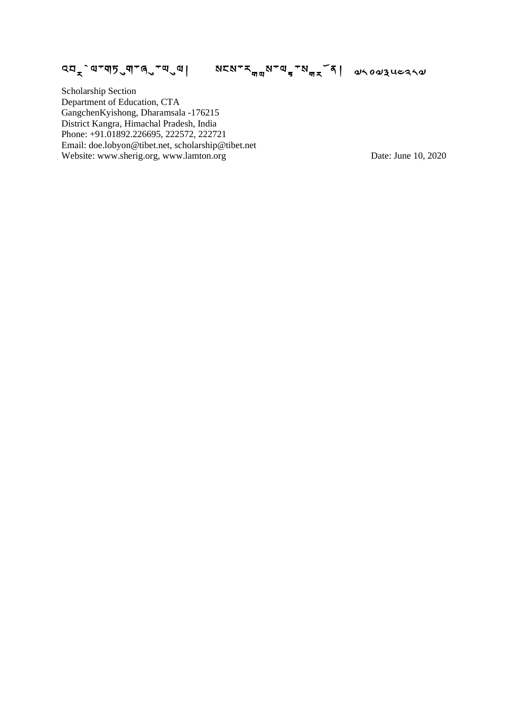འབྲེལ་གཏུག་ནུ་ལུལ། སངས་རྐྱས་ལྲ་སྐྲོན། ৶৲০৶ঽৢ৻ৼ৴ঀ৵

Scholarship Section Department of Education, CTA GangchenKyishong, Dharamsala -176215 District Kangra, Himachal Pradesh, India Phone: +91.01892.226695, 222572, 222721 Email: doe.lobyon@tibet.net, scholarship@tibet.net Website: www.sherig.org, www.lamton.org Date: June 10, 2020